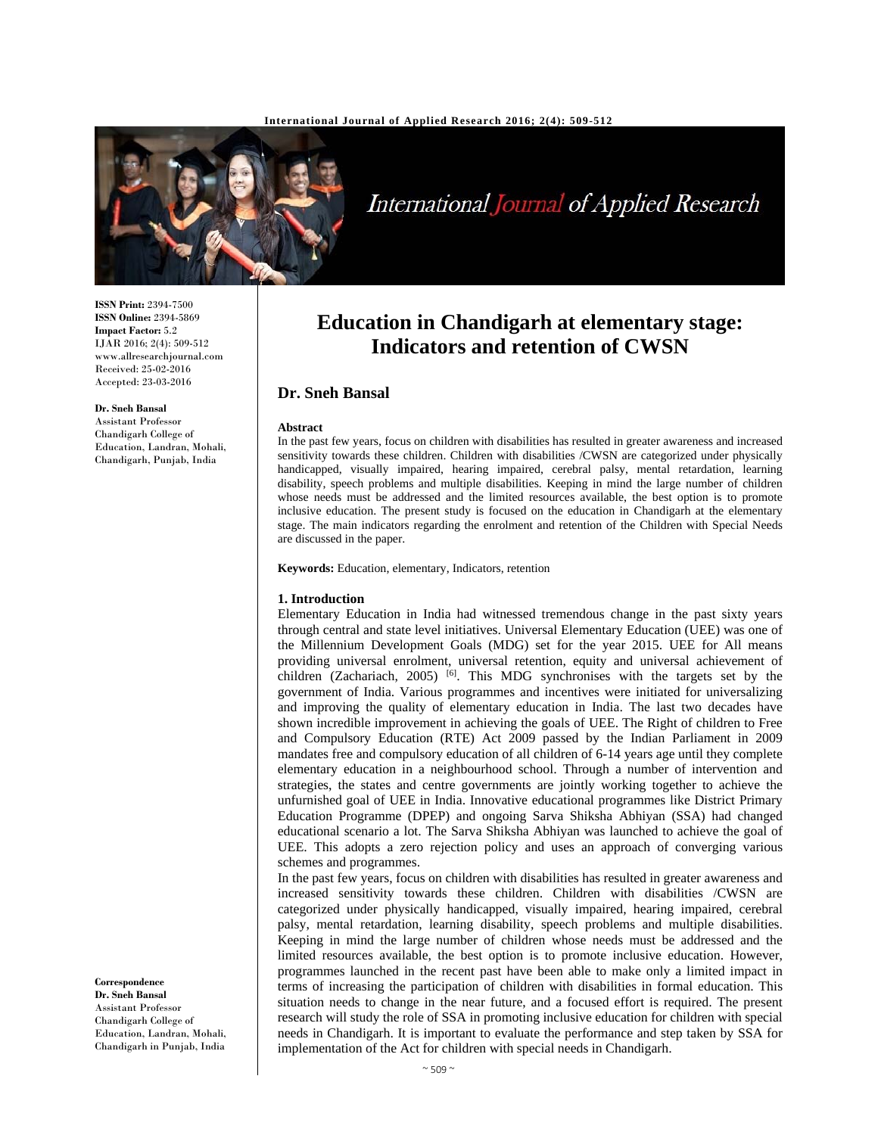

International Journal of Applied Research

# **Education in Chandigarh at elementary stage: Indicators and retention of CWSN**

# **Dr. Sneh Bansal**

#### **Abstract**

In the past few years, focus on children with disabilities has resulted in greater awareness and increased sensitivity towards these children. Children with disabilities /CWSN are categorized under physically handicapped, visually impaired, hearing impaired, cerebral palsy, mental retardation, learning disability, speech problems and multiple disabilities. Keeping in mind the large number of children whose needs must be addressed and the limited resources available, the best option is to promote inclusive education. The present study is focused on the education in Chandigarh at the elementary stage. The main indicators regarding the enrolment and retention of the Children with Special Needs are discussed in the paper.

**Keywords:** Education, elementary, Indicators, retention

#### **1. Introduction**

Elementary Education in India had witnessed tremendous change in the past sixty years through central and state level initiatives. Universal Elementary Education (UEE) was one of the Millennium Development Goals (MDG) set for the year 2015. UEE for All means providing universal enrolment, universal retention, equity and universal achievement of children (Zachariach, 2005) [6]. This MDG synchronises with the targets set by the government of India. Various programmes and incentives were initiated for universalizing and improving the quality of elementary education in India. The last two decades have shown incredible improvement in achieving the goals of UEE. The Right of children to Free and Compulsory Education (RTE) Act 2009 passed by the Indian Parliament in 2009 mandates free and compulsory education of all children of 6-14 years age until they complete elementary education in a neighbourhood school. Through a number of intervention and strategies, the states and centre governments are jointly working together to achieve the unfurnished goal of UEE in India. Innovative educational programmes like District Primary Education Programme (DPEP) and ongoing Sarva Shiksha Abhiyan (SSA) had changed educational scenario a lot. The Sarva Shiksha Abhiyan was launched to achieve the goal of UEE. This adopts a zero rejection policy and uses an approach of converging various schemes and programmes.

In the past few years, focus on children with disabilities has resulted in greater awareness and increased sensitivity towards these children. Children with disabilities /CWSN are categorized under physically handicapped, visually impaired, hearing impaired, cerebral palsy, mental retardation, learning disability, speech problems and multiple disabilities. Keeping in mind the large number of children whose needs must be addressed and the limited resources available, the best option is to promote inclusive education. However, programmes launched in the recent past have been able to make only a limited impact in terms of increasing the participation of children with disabilities in formal education. This situation needs to change in the near future, and a focused effort is required. The present research will study the role of SSA in promoting inclusive education for children with special needs in Chandigarh. It is important to evaluate the performance and step taken by SSA for implementation of the Act for children with special needs in Chandigarh.

**ISSN Print:** 2394-7500 **ISSN Online:** 2394-5869 **Impact Factor:** 5.2 IJAR 2016; 2(4): 509-512 www.allresearchjournal.com Received: 25-02-2016 Accepted: 23-03-2016

**Dr. Sneh Bansal**  Assistant Professor Chandigarh College of Education, Landran, Mohali, Chandigarh, Punjab, India

**Correspondence Dr. Sneh Bansal** 

Assistant Professor Chandigarh College of Education, Landran, Mohali, Chandigarh in Punjab, India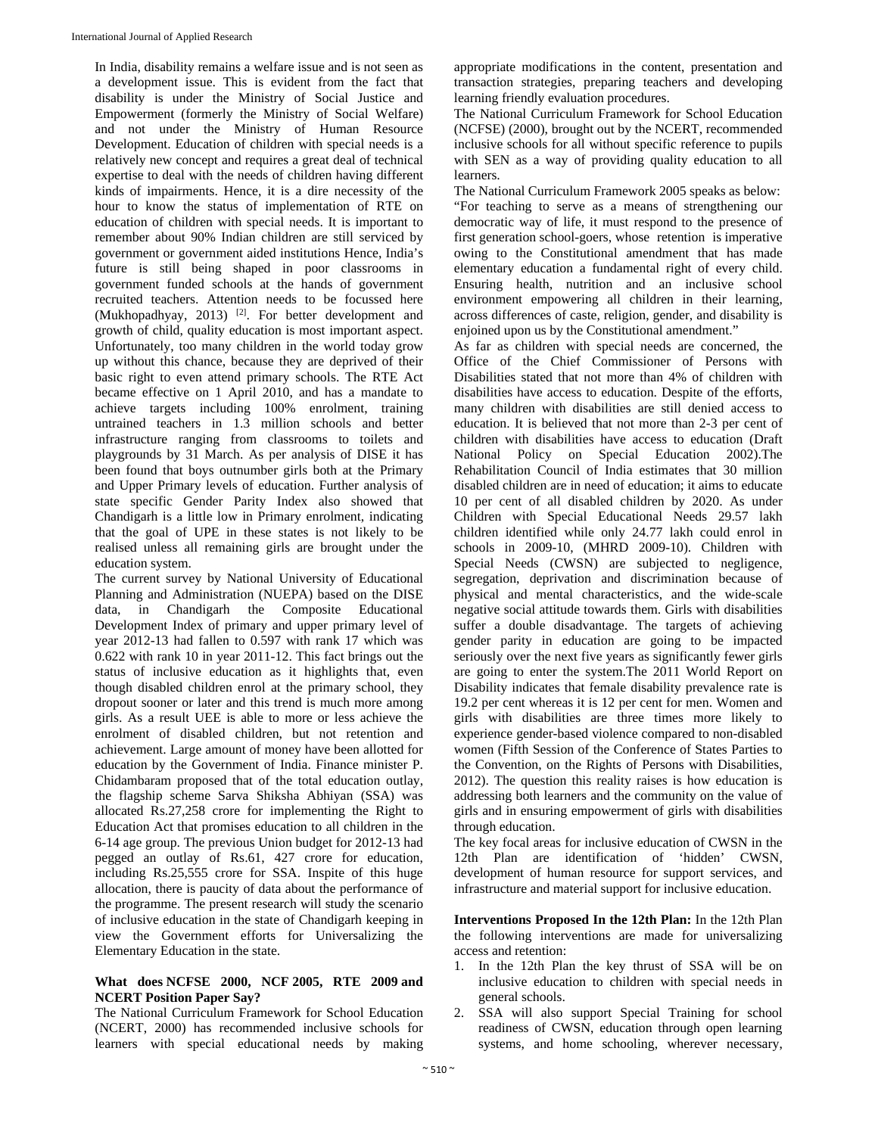In India, disability remains a welfare issue and is not seen as a development issue. This is evident from the fact that disability is under the Ministry of Social Justice and Empowerment (formerly the Ministry of Social Welfare) and not under the Ministry of Human Resource Development. Education of children with special needs is a relatively new concept and requires a great deal of technical expertise to deal with the needs of children having different kinds of impairments. Hence, it is a dire necessity of the hour to know the status of implementation of RTE on education of children with special needs. It is important to remember about 90% Indian children are still serviced by government or government aided institutions Hence, India's future is still being shaped in poor classrooms in government funded schools at the hands of government recruited teachers. Attention needs to be focussed here (Mukhopadhyay, 2013)<sup>[2]</sup>. For better development and growth of child, quality education is most important aspect. Unfortunately, too many children in the world today grow up without this chance, because they are deprived of their basic right to even attend primary schools. The RTE Act became effective on 1 April 2010, and has a mandate to achieve targets including 100% enrolment, training untrained teachers in 1.3 million schools and better infrastructure ranging from classrooms to toilets and playgrounds by 31 March. As per analysis of DISE it has been found that boys outnumber girls both at the Primary and Upper Primary levels of education. Further analysis of state specific Gender Parity Index also showed that Chandigarh is a little low in Primary enrolment, indicating that the goal of UPE in these states is not likely to be realised unless all remaining girls are brought under the education system.

The current survey by National University of Educational Planning and Administration (NUEPA) based on the DISE data, in Chandigarh the Composite Educational Development Index of primary and upper primary level of year 2012-13 had fallen to 0.597 with rank 17 which was 0.622 with rank 10 in year 2011-12. This fact brings out the status of inclusive education as it highlights that, even though disabled children enrol at the primary school, they dropout sooner or later and this trend is much more among girls. As a result UEE is able to more or less achieve the enrolment of disabled children, but not retention and achievement. Large amount of money have been allotted for education by the Government of India. Finance minister P. Chidambaram proposed that of the total education outlay, the flagship scheme Sarva Shiksha Abhiyan (SSA) was allocated Rs.27,258 crore for implementing the Right to Education Act that promises education to all children in the 6-14 age group. The previous Union budget for 2012-13 had pegged an outlay of Rs.61, 427 crore for education, including Rs.25,555 crore for SSA. Inspite of this huge allocation, there is paucity of data about the performance of the programme. The present research will study the scenario of inclusive education in the state of Chandigarh keeping in view the Government efforts for Universalizing the Elementary Education in the state.

# **What does NCFSE 2000, NCF 2005, RTE 2009 and NCERT Position Paper Say?**

The National Curriculum Framework for School Education (NCERT, 2000) has recommended inclusive schools for learners with special educational needs by making

appropriate modifications in the content, presentation and transaction strategies, preparing teachers and developing learning friendly evaluation procedures.

The National Curriculum Framework for School Education (NCFSE) (2000), brought out by the NCERT, recommended inclusive schools for all without specific reference to pupils with SEN as a way of providing quality education to all learners.

The National Curriculum Framework 2005 speaks as below: "For teaching to serve as a means of strengthening our democratic way of life, it must respond to the presence of first generation school-goers, whose retention is imperative owing to the Constitutional amendment that has made elementary education a fundamental right of every child. Ensuring health, nutrition and an inclusive school environment empowering all children in their learning, across differences of caste, religion, gender, and disability is enjoined upon us by the Constitutional amendment."

As far as children with special needs are concerned, the Office of the Chief Commissioner of Persons with Disabilities stated that not more than 4% of children with disabilities have access to education. Despite of the efforts, many children with disabilities are still denied access to education. It is believed that not more than 2-3 per cent of children with disabilities have access to education (Draft National Policy on Special Education 2002).The Rehabilitation Council of India estimates that 30 million disabled children are in need of education; it aims to educate 10 per cent of all disabled children by 2020. As under Children with Special Educational Needs 29.57 lakh children identified while only 24.77 lakh could enrol in schools in 2009-10, (MHRD 2009-10). Children with Special Needs (CWSN) are subjected to negligence, segregation, deprivation and discrimination because of physical and mental characteristics, and the wide-scale negative social attitude towards them. Girls with disabilities suffer a double disadvantage. The targets of achieving gender parity in education are going to be impacted seriously over the next five years as significantly fewer girls are going to enter the system.The 2011 World Report on Disability indicates that female disability prevalence rate is 19.2 per cent whereas it is 12 per cent for men. Women and girls with disabilities are three times more likely to experience gender-based violence compared to non-disabled women (Fifth Session of the Conference of States Parties to the Convention, on the Rights of Persons with Disabilities, 2012). The question this reality raises is how education is addressing both learners and the community on the value of girls and in ensuring empowerment of girls with disabilities through education.

The key focal areas for inclusive education of CWSN in the 12th Plan are identification of 'hidden' CWSN, development of human resource for support services, and infrastructure and material support for inclusive education.

**Interventions Proposed In the 12th Plan:** In the 12th Plan the following interventions are made for universalizing access and retention:

- 1. In the 12th Plan the key thrust of SSA will be on inclusive education to children with special needs in general schools.
- 2. SSA will also support Special Training for school readiness of CWSN, education through open learning systems, and home schooling, wherever necessary,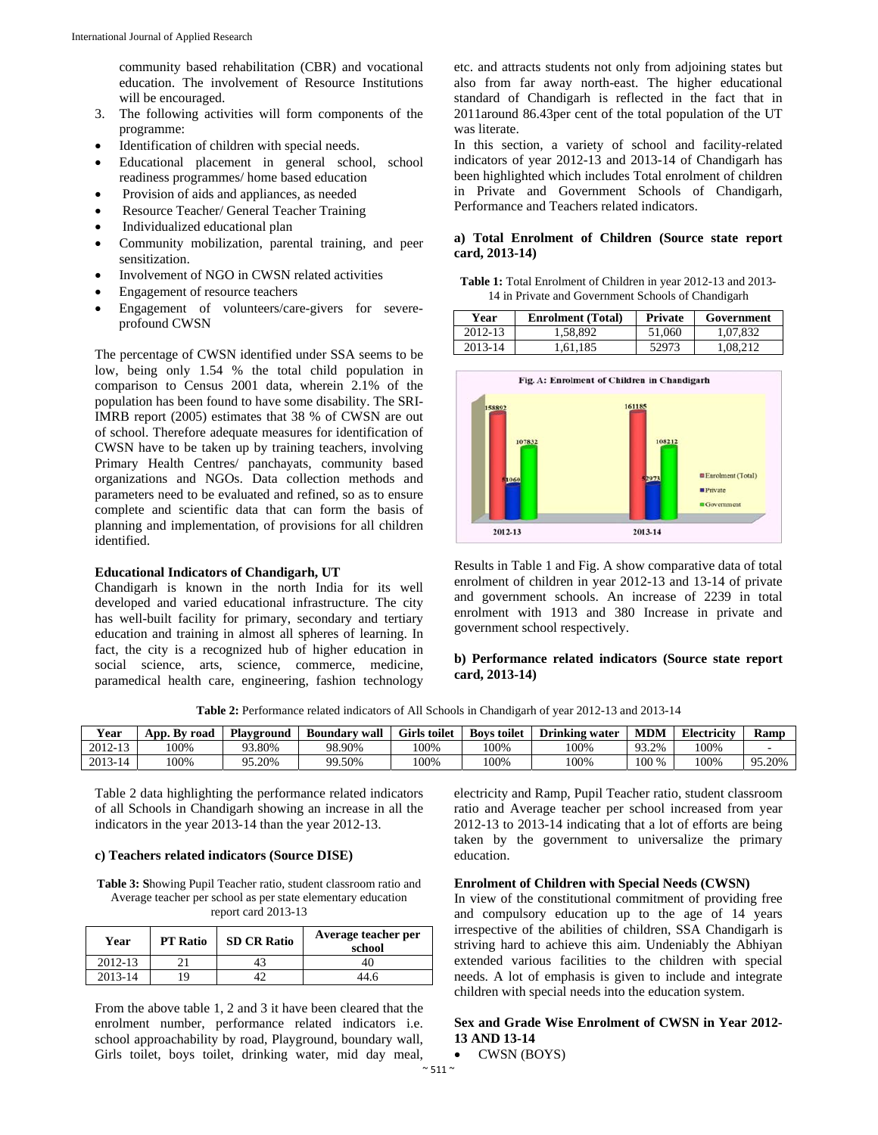community based rehabilitation (CBR) and vocational education. The involvement of Resource Institutions will be encouraged.

- 3. The following activities will form components of the programme:
- Identification of children with special needs.
- Educational placement in general school, school readiness programmes/ home based education
- Provision of aids and appliances, as needed
- Resource Teacher/ General Teacher Training
- Individualized educational plan
- Community mobilization, parental training, and peer sensitization.
- Involvement of NGO in CWSN related activities
- Engagement of resource teachers
- Engagement of volunteers/care-givers for severeprofound CWSN

The percentage of CWSN identified under SSA seems to be low, being only 1.54 % the total child population in comparison to Census 2001 data, wherein 2.1% of the population has been found to have some disability. The SRI-IMRB report (2005) estimates that 38 % of CWSN are out of school. Therefore adequate measures for identification of CWSN have to be taken up by training teachers, involving Primary Health Centres/ panchayats, community based organizations and NGOs. Data collection methods and parameters need to be evaluated and refined, so as to ensure complete and scientific data that can form the basis of planning and implementation, of provisions for all children identified.

## **Educational Indicators of Chandigarh, UT**

Chandigarh is known in the north India for its well developed and varied educational infrastructure. The city has well-built facility for primary, secondary and tertiary education and training in almost all spheres of learning. In fact, the city is a recognized hub of higher education in social science, arts, science, commerce, medicine, paramedical health care, engineering, fashion technology

etc. and attracts students not only from adjoining states but also from far away north-east. The higher educational standard of Chandigarh is reflected in the fact that in 2011around 86.43per cent of the total population of the UT was literate.

In this section, a variety of school and facility-related indicators of year 2012-13 and 2013-14 of Chandigarh has been highlighted which includes Total enrolment of children in Private and Government Schools of Chandigarh, Performance and Teachers related indicators.

## **a) Total Enrolment of Children (Source state report card, 2013-14)**

| <b>Table 1:</b> Total Enrolment of Children in year 2012-13 and 2013- |  |
|-----------------------------------------------------------------------|--|
| 14 in Private and Government Schools of Chandigarh                    |  |

| Year    | <b>Enrolment</b> (Total) | Private | Government |
|---------|--------------------------|---------|------------|
| 2012-13 | 1.58.892                 | 51,060  | 1.07.832   |
| 2013-14 | 1.61.185                 | 52973   | 1.08.212   |



Results in Table 1 and Fig. A show comparative data of total enrolment of children in year 2012-13 and 13-14 of private and government schools. An increase of 2239 in total enrolment with 1913 and 380 Increase in private and government school respectively.

# **b) Performance related indicators (Source state report card, 2013-14)**

**Table 2:** Performance related indicators of All Schools in Chandigarh of year 2012-13 and 2013-14

| Year    | App. Bv road | Plavground<br>∕ wall<br>Boundary |        | <b>Girls toilet</b> | <b>Boys toilet</b> | <b>Drinking water</b> | <b>MDM</b>          | Electricity | Ramu   |
|---------|--------------|----------------------------------|--------|---------------------|--------------------|-----------------------|---------------------|-------------|--------|
| 2012-13 | 100%         | 93.80%                           | 98.90% | 100%                | 100%               | 100%                  | $^{\Omega}$<br>3.2% | !00%        |        |
| 2013-14 | 100%         | $0.20\%$<br>۰ ۵۵                 | 99.50% | !00%                | 100%               | 100%                  | 100 %               | 100%        | 95.20% |

Table 2 data highlighting the performance related indicators of all Schools in Chandigarh showing an increase in all the indicators in the year 2013-14 than the year 2012-13.

#### **c) Teachers related indicators (Source DISE)**

**Table 3: S**howing Pupil Teacher ratio, student classroom ratio and Average teacher per school as per state elementary education report card 2013-13

| Year    | <b>PT</b> Ratio | <b>SD CR Ratio</b> | Average teacher per<br>school |  |  |  |
|---------|-----------------|--------------------|-------------------------------|--|--|--|
| 2012-13 |                 |                    | 40                            |  |  |  |
| 2013-14 |                 |                    |                               |  |  |  |

From the above table 1, 2 and 3 it have been cleared that the enrolment number, performance related indicators i.e. school approachability by road, Playground, boundary wall, Girls toilet, boys toilet, drinking water, mid day meal,

electricity and Ramp, Pupil Teacher ratio, student classroom ratio and Average teacher per school increased from year 2012-13 to 2013-14 indicating that a lot of efforts are being taken by the government to universalize the primary education.

## **Enrolment of Children with Special Needs (CWSN)**

In view of the constitutional commitment of providing free and compulsory education up to the age of 14 years irrespective of the abilities of children, SSA Chandigarh is striving hard to achieve this aim. Undeniably the Abhiyan extended various facilities to the children with special needs. A lot of emphasis is given to include and integrate children with special needs into the education system.

# **Sex and Grade Wise Enrolment of CWSN in Year 2012- 13 AND 13-14**

• CWSN (BOYS)